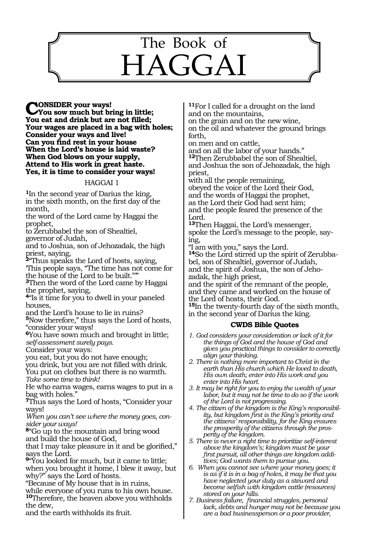# 1161 The Book of HAGGAI

**CONSIDER your ways! You sow much but bring in little; You eat and drink but are not filled; Your wages are placed in a bag with holes; Consider your ways and live! Can you find rest in your house When the Lord's house is laid waste? When God blows on your supply, Attend to His work in great haste. Yes, it is time to consider your ways!**

## HAGGAI 1

**<sup>1</sup>**In the second year of Darius the king, in the sixth month, on the first day of the month,

the word of the Lord came by Haggai the prophet,

to Zerubbabel the son of Shealtiel, governor of Judah,

and to Joshua, son of Jehozadak, the high priest, saying,

**<sup>2</sup>**"Thus speaks the Lord of hosts, saying, 'This people says, "The time has not come for the house of the Lord to be built."'"

**<sup>3</sup>**Then the word of the Lord came by Haggai the prophet, saying,

**<sup>4</sup>**"Is it time for you to dwell in your paneled houses,

and the Lord's house to lie in ruins?

**<sup>5</sup>**Now therefore," thus says the Lord of hosts, "consider your ways!

**<sup>6</sup>**You have sown much and brought in little; *self-assessment surely pays.* 

Consider your ways:

you eat, but you do not have enough;

you drink, but you are not filled with drink. You put on clothes but there is no warmth. *Take some time to think!* 

He who earns wages, earns wages to put in a bag with holes."

**<sup>7</sup>**Thus says the Lord of hosts, "Consider your ways!

*When you can't see where the money goes, consider your ways!* 

**<sup>8</sup>**"Go up to the mountain and bring wood and build the house of God,

that I may take pleasure in it and be glorified," says the Lord.

**<sup>9</sup>**"You looked for much, but it came to little; when you brought it home, I blew it away, but why?" says the Lord of hosts.

"Because of My house that is in ruins,

while everyone of you runs to his own house. **<sup>10</sup>**Therefore, the heaven above you withholds the dew,

and the earth withholds its fruit.

**<sup>11</sup>**For I called for a drought on the land and on the mountains,

on the grain and on the new wine, on the oil and whatever the ground brings forth,

on men and on cattle,

and on all the labor of your hands." **<sup>12</sup>**Then Zerubbabel the son of Shealtiel,

and Joshua the son of Jehozadak, the high priest,

with all the people remaining,

obeyed the voice of the Lord their God, and the words of Haggai the prophet, as the Lord their God had sent him; and the people feared the presence of the Lord.

**<sup>13</sup>**Then Haggai, the Lord's messenger, spoke the Lord's message to the people, say- ing,

"I am with you," says the Lord.

**<sup>14</sup>**So the Lord stirred up the spirit of Zerubba- bel, son of Shealtiel, governor of Judah, and the spirit of Joshua, the son of Jeho- zadak, the high priest,

and the spirit of the remnant of the people, and they came and worked on the house of the Lord of hosts, their God.

**<sup>15</sup>**In the twenty-fourth day of the sixth month, in the second year of Darius the king.

# **CWDS Bible Quotes**

- *1. God considers your consideration or lack of it for the things of God and the house of God and gives you practical things to consider to correctly align your thinking.*
- *2. There is nothing more important to Christ in the earth than His church which He loved to death, His own death; enter into His work and you enter into His heart.*
- *3. It may be right for you to enjoy the wealth of your labor, but it may not be time to do so if the work of the Lord is not progressing.*
- *4. The citizen of the kingdom is the King's responsibility, but kingdom first is the King's priority and the citizens' responsibility, for the King ensures the prosperity of the citizens through the prosperity of the kingdom.*
- *5. There is never a right time to prioritize self-interest above the kingdom's; kingdom must be your first pursuit, all other things are kingdom additives; God wants them to pursue you.*
- *6. When you cannot see where your money goes; it is as if it is in a bag of holes, it may be that you have neglected your duty as a steward and become selfish with kingdom cattle (resources) stored on your hills.*
- *7. Business failure, financial struggles, personal lack, debts and hunger may not be because you are a bad businessperson or a poor provider,*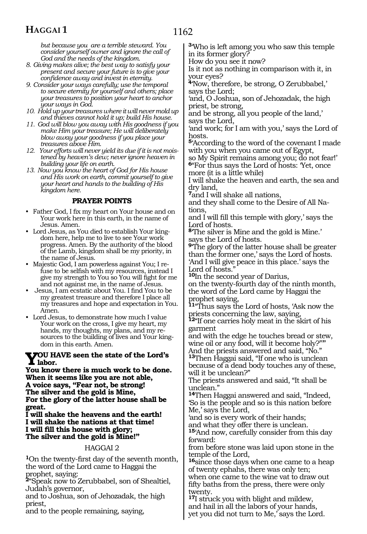# **HAGGAI 1**

*but because you are a terrible steward. You consider yourself owner and ignore the call of God and the needs of the kingdom.*

*8. Giving makes alive; the best way to satisfy your present and secure your future is to give your confidence away and invest in eternity.*

*9. Consider your ways carefully; use the temporal to secure eternity for yourself and others; place your treasures to position your heart to anchor your ways in God.*

- *10. Hold up your treasures where it will never mold up and thieves cannot hold it up; build His house.*
- *11. God will blow you away with His goodness if you make Him your treasure; He will deliberately blow away your goodness if you place your treasures above Him.*
- *12. Your efforts will never yield its due if it is not moistened by heaven's dew; never ignore heaven in building your life on earth.*
- *13. Now you know the heart of God for His house and His work on earth, commit yourself to give your heart and hands to the building of His kingdom here.*

# **PRAYER POINTS**

- Father God, I fix my heart on Your house and on Your work here in this earth, in the name of Jesus. Amen.
- Lord Jesus, as You died to establish Your kingdom here, help me to live to see Your work progress. Amen. By the authority of the blood of the Lamb, kingdom shall be my priority, in the name of Jesus.
- Majestic God, I am powerless against You; I refuse to be selfish with my resources, instead I give my strength to You so You will fight for me and not against me, in the name of Jesus.
- Jesus, I am ecstatic about You. I find You to be my greatest treasure and therefore I place all my treasures and hope and expectation in You. Amen.
- Lord Jesus, to demonstrate how much I value Your work on the cross, I give my heart, my hands, my thoughts, my plans, and my resources to the building of lives and Your kingdom in this earth. Amen.

## **You have seen the state of the Lord's labor.**

**You know there is much work to be done. When it seems like you are not able, A voice says, "Fear not, be strong! The silver and the gold is Mine, For the glory of the latter house shall be great.**

**I will shake the heavens and the earth! I will shake the nations at that time! I will fill this house with glory; The silver and the gold is Mine!"**

# HAGGAI 2

**<sup>1</sup>**On the twenty-first day of the seventh month, the word of the Lord came to Haggai the prophet, saying:

**<sup>2</sup>**"Speak now to Zerubbabel, son of Shealtiel, Judah's governor,

and to Joshua, son of Jehozadak, the high priest,

and to the people remaining, saying,

**<sup>3</sup>**'Who is left among you who saw this temple in its former glory?

How do you see it now?

Is it not as nothing in comparison with it, in your eyes?

**<sup>4</sup>**'Now, therefore, be strong, O Zerubbabel,' says the Lord;

'and, O Joshua, son of Jehozadak, the high priest, be strong,

and be strong, all you people of the land,' says the Lord,

'and work; for I am with you,' says the Lord of hosts.

**<sup>5</sup>**'According to the word of the covenant I made with you when you came out of Egypt,

so My Spirit remains among you; do not fear!' **<sup>6</sup>**"For thus says the Lord of hosts: 'Yet, once more (it is a little while)

I will shake the heaven and earth, the sea and dry land,

**<sup>7</sup>**and I will shake all nations,

and they shall come to the Desire of All Na- tions,

and I will fill this temple with glory,' says the Lord of hosts.

**<sup>8</sup>**'The silver is Mine and the gold is Mine.' says the Lord of hosts.

**<sup>9</sup>**'The glory of the latter house shall be greater than the former one,' says the Lord of hosts. 'And I will give peace in this place.' says the Lord of hosts."

**<sup>10</sup>**In the second year of Darius,

on the twenty-fourth day of the ninth month, the word of the Lord came by Haggai the prophet saying,

**<sup>11</sup>**"Thus says the Lord of hosts, 'Ask now the priests concerning the law, saying,

**<sup>12</sup>**"If one carries holy meat in the skirt of his garment

and with the edge he touches bread or stew, wine oil or any food, will it become holy?""

And the priests answered and said, "No." **<sup>13</sup>**Then Haggai said, "If one who is unclean because of a dead body touches any of these, will it be unclean?"

The priests answered and said, "It shall be unclean."

**<sup>14</sup>**Then Haggai answered and said, "Indeed, 'So is the people and so is this nation before Me,' says the Lord,

'and so is every work of their hands;

and what they offer there is unclean.

**<sup>15</sup>**'And now, carefully consider from this day forward:

from before stone was laid upon stone in the temple of the Lord,

**<sup>16</sup>**since those days when one came to a heap of twenty ephahs, there was only ten;

when one came to the wine vat to draw out fifty baths from the press, there were only twenty.

**<sup>17</sup>**I struck you with blight and mildew, and hail in all the labors of your hands, yet you did not turn to Me,' says the Lord.